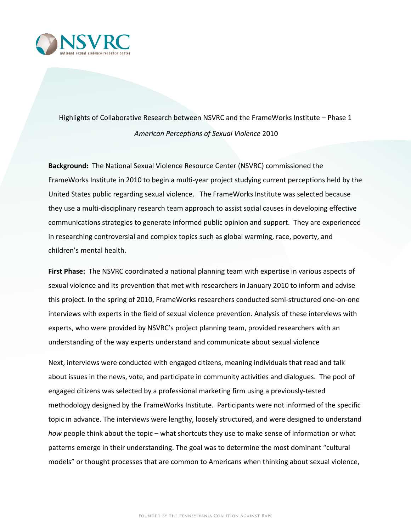

Highlights of Collaborative Research between NSVRC and the FrameWorks Institute - Phase 1 *American Perceptions of Sexual Violence* 2010

**Background:** The National Sexual Violence Resource Center (NSVRC) commissioned the FrameWorks Institute in 2010 to begin a multi-year project studying current perceptions held by the United States public regarding sexual violence. The FrameWorks Institute was selected because they use a multi-disciplinary research team approach to assist social causes in developing effective communications strategies to generate informed public opinion and support. They are experienced in researching controversial and complex topics such as global warming, race, poverty, and children's mental health.

**First Phase:** The NSVRC coordinated a national planning team with expertise in various aspects of sexual violence and its prevention that met with researchers in January 2010 to inform and advise this project. In the spring of 2010, FrameWorks researchers conducted semi-structured one-on-one interviews with experts in the field of sexual violence prevention. Analysis of these interviews with experts, who were provided by NSVRC's project planning team, provided researchers with an understanding of the way experts understand and communicate about sexual violence

Next, interviews were conducted with engaged citizens, meaning individuals that read and talk about issues in the news, vote, and participate in community activities and dialogues. The pool of engaged citizens was selected by a professional marketing firm using a previously-tested methodology designed by the FrameWorks Institute. Participants were not informed of the specific topic in advance. The interviews were lengthy, loosely structured, and were designed to understand *how* people think about the topic – what shortcuts they use to make sense of information or what patterns emerge in their understanding. The goal was to determine the most dominant "cultural models" or thought processes that are common to Americans when thinking about sexual violence,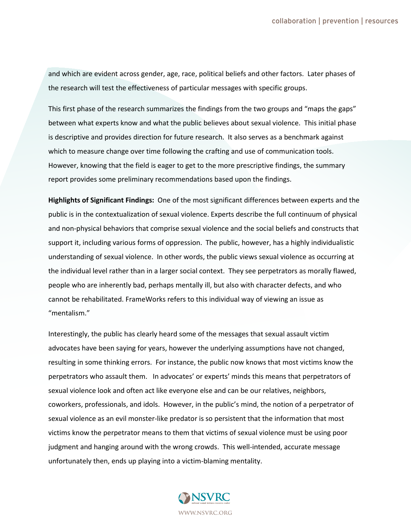and which are evident across gender, age, race, political beliefs and other factors. Later phases of the research will test the effectiveness of particular messages with specific groups.

This first phase of the research summarizes the findings from the two groups and "maps the gaps" between what experts know and what the public believes about sexual violence. This initial phase is descriptive and provides direction for future research. It also serves as a benchmark against which to measure change over time following the crafting and use of communication tools. However, knowing that the field is eager to get to the more prescriptive findings, the summary report provides some preliminary recommendations based upon the findings.

**Highlights of Significant Findings:** One of the most significant differences between experts and the public is in the contextualization of sexual violence. Experts describe the full continuum of physical and non-physical behaviors that comprise sexual violence and the social beliefs and constructs that support it, including various forms of oppression. The public, however, has a highly individualistic understanding of sexual violence. In other words, the public views sexual violence as occurring at the individual level rather than in a larger social context. They see perpetrators as morally flawed, people who are inherently bad, perhaps mentally ill, but also with character defects, and who cannot be rehabilitated. FrameWorks refers to this individual way of viewing an issue as "mentalism."

Interestingly, the public has clearly heard some of the messages that sexual assault victim advocates have been saying for years, however the underlying assumptions have not changed, resulting in some thinking errors. For instance, the public now knows that most victims know the perpetrators who assault them. In advocates' or experts' minds this means that perpetrators of sexual violence look and often act like everyone else and can be our relatives, neighbors, coworkers, professionals, and idols. However, in the public's mind, the notion of a perpetrator of sexual violence as an evil monster-like predator is so persistent that the information that most victims know the perpetrator means to them that victims of sexual violence must be using poor judgment and hanging around with the wrong crowds. This well-intended, accurate message unfortunately then, ends up playing into a victim-blaming mentality.

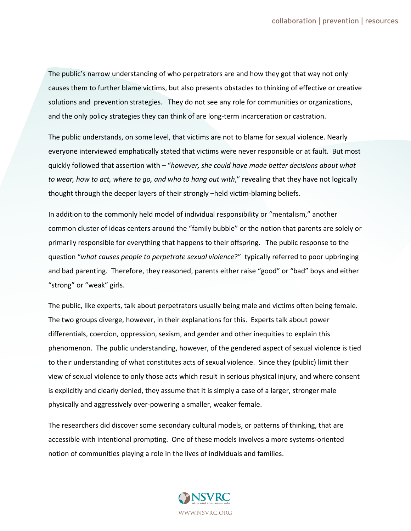The public's narrow understanding of who perpetrators are and how they got that way not only causes them to further blame victims, but also presents obstacles to thinking of effective or creative solutions and prevention strategies. They do not see any role for communities or organizations, and the only policy strategies they can think of are long-term incarceration or castration.

The public understands, on some level, that victims are not to blame for sexual violence. Nearly everyone interviewed emphatically stated that victims were never responsible or at fault. But most quickly followed that assertion with – "*however, she could have made better decisions about what to wear, how to act, where to go, and who to hang out with*," revealing that they have not logically thought through the deeper layers of their strongly –held victim-blaming beliefs.

In addition to the commonly held model of individual responsibility or "mentalism," another common cluster of ideas centers around the "family bubble" or the notion that parents are solely or primarily responsible for everything that happens to their offspring. The public response to the question "*what causes people to perpetrate sexual violence*?" typically referred to poor upbringing and bad parenting. Therefore, they reasoned, parents either raise "good" or "bad" boys and either "strong" or "weak" girls.

The public, like experts, talk about perpetrators usually being male and victims often being female. The two groups diverge, however, in their explanations for this. Experts talk about power differentials, coercion, oppression, sexism, and gender and other inequities to explain this phenomenon. The public understanding, however, of the gendered aspect of sexual violence is tied to their understanding of what constitutes acts of sexual violence. Since they (public) limit their view of sexual violence to only those acts which result in serious physical injury, and where consent is explicitly and clearly denied, they assume that it is simply a case of a larger, stronger male physically and aggressively over-powering a smaller, weaker female.

The researchers did discover some secondary cultural models, or patterns of thinking, that are accessible with intentional prompting. One of these models involves a more systems-oriented notion of communities playing a role in the lives of individuals and families.